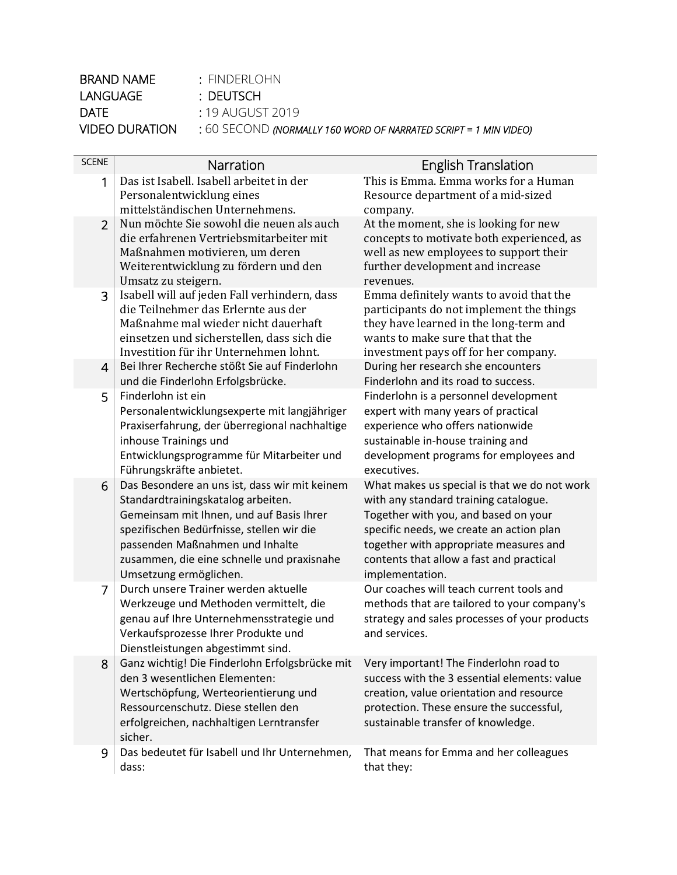| BRAND NAME            | : FINDERLOHN                                                         |
|-----------------------|----------------------------------------------------------------------|
| LANGUAGE              | : DEUTSCH                                                            |
| DATF.                 | : 19 AUGUST 2019                                                     |
| <b>VIDEO DURATION</b> | $\pm 60$ SECOND (normally 160 word of narrated script = 1 min video) |

| <b>SCENE</b>   | Narration                                                                                                                                                                                                                                                                               | <b>English Translation</b>                                                                                                                                                                                                                                                         |
|----------------|-----------------------------------------------------------------------------------------------------------------------------------------------------------------------------------------------------------------------------------------------------------------------------------------|------------------------------------------------------------------------------------------------------------------------------------------------------------------------------------------------------------------------------------------------------------------------------------|
| $\mathbf{1}$   | Das ist Isabell. Isabell arbeitet in der<br>Personalentwicklung eines<br>mittelständischen Unternehmens.                                                                                                                                                                                | This is Emma. Emma works for a Human<br>Resource department of a mid-sized<br>company.                                                                                                                                                                                             |
| $\overline{2}$ | Nun möchte Sie sowohl die neuen als auch<br>die erfahrenen Vertriebsmitarbeiter mit<br>Maßnahmen motivieren, um deren<br>Weiterentwicklung zu fördern und den<br>Umsatz zu steigern.                                                                                                    | At the moment, she is looking for new<br>concepts to motivate both experienced, as<br>well as new employees to support their<br>further development and increase<br>revenues.                                                                                                      |
| 3              | Isabell will auf jeden Fall verhindern, dass<br>die Teilnehmer das Erlernte aus der<br>Maßnahme mal wieder nicht dauerhaft<br>einsetzen und sicherstellen, dass sich die<br>Investition für ihr Unternehmen lohnt.                                                                      | Emma definitely wants to avoid that the<br>participants do not implement the things<br>they have learned in the long-term and<br>wants to make sure that that the<br>investment pays off for her company.                                                                          |
| $\overline{4}$ | Bei Ihrer Recherche stößt Sie auf Finderlohn<br>und die Finderlohn Erfolgsbrücke.                                                                                                                                                                                                       | During her research she encounters<br>Finderlohn and its road to success.                                                                                                                                                                                                          |
| 5              | Finderlohn ist ein<br>Personalentwicklungsexperte mit langjähriger<br>Praxiserfahrung, der überregional nachhaltige<br>inhouse Trainings und<br>Entwicklungsprogramme für Mitarbeiter und<br>Führungskräfte anbietet.                                                                   | Finderlohn is a personnel development<br>expert with many years of practical<br>experience who offers nationwide<br>sustainable in-house training and<br>development programs for employees and<br>executives.                                                                     |
| 6              | Das Besondere an uns ist, dass wir mit keinem<br>Standardtrainingskatalog arbeiten.<br>Gemeinsam mit Ihnen, und auf Basis Ihrer<br>spezifischen Bedürfnisse, stellen wir die<br>passenden Maßnahmen und Inhalte<br>zusammen, die eine schnelle und praxisnahe<br>Umsetzung ermöglichen. | What makes us special is that we do not work<br>with any standard training catalogue.<br>Together with you, and based on your<br>specific needs, we create an action plan<br>together with appropriate measures and<br>contents that allow a fast and practical<br>implementation. |
| 7              | Durch unsere Trainer werden aktuelle<br>Werkzeuge und Methoden vermittelt, die<br>genau auf Ihre Unternehmensstrategie und<br>Verkaufsprozesse Ihrer Produkte und<br>Dienstleistungen abgestimmt sind.                                                                                  | Our coaches will teach current tools and<br>methods that are tailored to your company's<br>strategy and sales processes of your products<br>and services.                                                                                                                          |
| 8              | Ganz wichtig! Die Finderlohn Erfolgsbrücke mit<br>den 3 wesentlichen Elementen:<br>Wertschöpfung, Werteorientierung und<br>Ressourcenschutz. Diese stellen den<br>erfolgreichen, nachhaltigen Lerntransfer<br>sicher.                                                                   | Very important! The Finderlohn road to<br>success with the 3 essential elements: value<br>creation, value orientation and resource<br>protection. These ensure the successful,<br>sustainable transfer of knowledge.                                                               |
| 9              | Das bedeutet für Isabell und Ihr Unternehmen,<br>dass:                                                                                                                                                                                                                                  | That means for Emma and her colleagues<br>that they:                                                                                                                                                                                                                               |